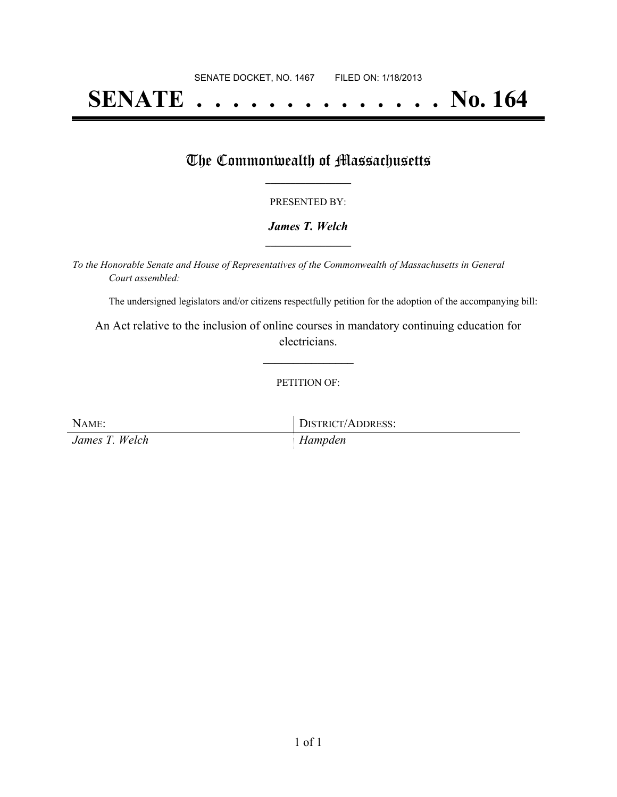# **SENATE . . . . . . . . . . . . . . No. 164**

### The Commonwealth of Massachusetts

#### PRESENTED BY:

#### *James T. Welch* **\_\_\_\_\_\_\_\_\_\_\_\_\_\_\_\_\_**

*To the Honorable Senate and House of Representatives of the Commonwealth of Massachusetts in General Court assembled:*

The undersigned legislators and/or citizens respectfully petition for the adoption of the accompanying bill:

An Act relative to the inclusion of online courses in mandatory continuing education for electricians.

**\_\_\_\_\_\_\_\_\_\_\_\_\_\_\_**

#### PETITION OF:

| NAME:          | DISTRICT/ADDRESS: |
|----------------|-------------------|
| James T. Welch | $H$ ampden        |